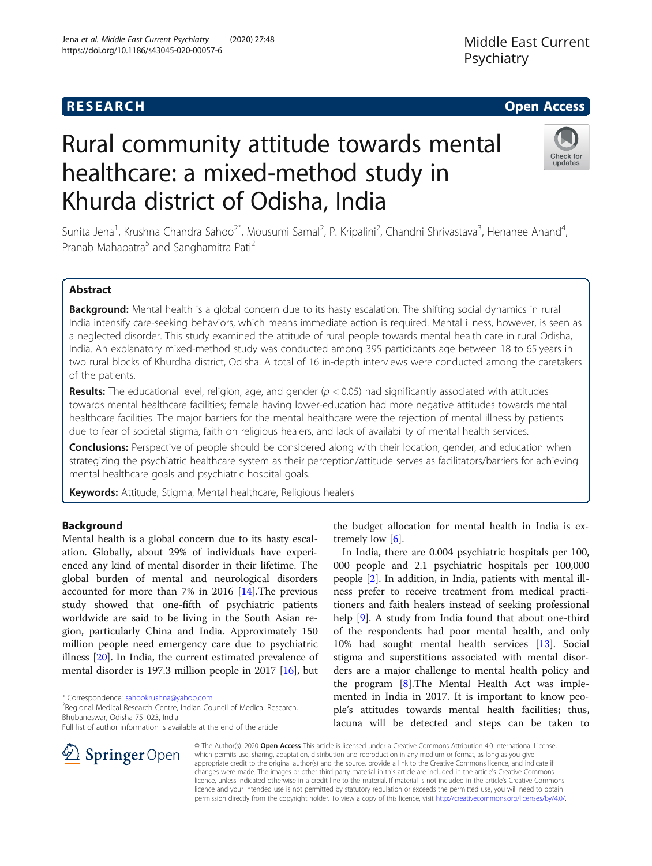# Rural community attitude towards mental healthcare: a mixed-method study in Khurda district of Odisha, India

**RESEARCH CHE Open Access** 

Sunita Jena<sup>1</sup>, Krushna Chandra Sahoo<sup>2\*</sup>, Mousumi Samal<sup>2</sup>, P. Kripalini<sup>2</sup>, Chandni Shrivastava<sup>3</sup>, Henanee Anand<sup>4</sup> , Pranab Mahapatra<sup>5</sup> and Sanghamitra Pati<sup>2</sup>

## Abstract

Background: Mental health is a global concern due to its hasty escalation. The shifting social dynamics in rural India intensify care-seeking behaviors, which means immediate action is required. Mental illness, however, is seen as a neglected disorder. This study examined the attitude of rural people towards mental health care in rural Odisha, India. An explanatory mixed-method study was conducted among 395 participants age between 18 to 65 years in two rural blocks of Khurdha district, Odisha. A total of 16 in-depth interviews were conducted among the caretakers of the patients.

**Results:** The educational level, religion, age, and gender ( $p < 0.05$ ) had significantly associated with attitudes towards mental healthcare facilities; female having lower-education had more negative attitudes towards mental healthcare facilities. The major barriers for the mental healthcare were the rejection of mental illness by patients due to fear of societal stigma, faith on religious healers, and lack of availability of mental health services.

Conclusions: Perspective of people should be considered along with their location, gender, and education when strategizing the psychiatric healthcare system as their perception/attitude serves as facilitators/barriers for achieving mental healthcare goals and psychiatric hospital goals.

Keywords: Attitude, Stigma, Mental healthcare, Religious healers

## Background

Mental health is a global concern due to its hasty escalation. Globally, about 29% of individuals have experienced any kind of mental disorder in their lifetime. The global burden of mental and neurological disorders accounted for more than 7% in 2016 [[14](#page-7-0)].The previous study showed that one-fifth of psychiatric patients worldwide are said to be living in the South Asian region, particularly China and India. Approximately 150 million people need emergency care due to psychiatric illness [\[20\]](#page-7-0). In India, the current estimated prevalence of mental disorder is 197.3 million people in 2017 [[16](#page-7-0)], but

\* Correspondence: [sahookrushna@yahoo.com](mailto:sahookrushna@yahoo.com) <sup>2</sup>

SpringerOpen

<sup>2</sup> Regional Medical Research Centre, Indian Council of Medical Research, Bhubaneswar, Odisha 751023, India

Full list of author information is available at the end of the article

the budget allocation for mental health in India is extremely low  $[6]$ .

In India, there are 0.004 psychiatric hospitals per 100, 000 people and 2.1 psychiatric hospitals per 100,000 people [[2\]](#page-7-0). In addition, in India, patients with mental illness prefer to receive treatment from medical practitioners and faith healers instead of seeking professional help [[9\]](#page-7-0). A study from India found that about one-third of the respondents had poor mental health, and only 10% had sought mental health services [[13](#page-7-0)]. Social stigma and superstitions associated with mental disorders are a major challenge to mental health policy and the program [\[8](#page-7-0)].The Mental Health Act was implemented in India in 2017. It is important to know people's attitudes towards mental health facilities; thus, lacuna will be detected and steps can be taken to

© The Author(s). 2020 Open Access This article is licensed under a Creative Commons Attribution 4.0 International License, which permits use, sharing, adaptation, distribution and reproduction in any medium or format, as long as you give appropriate credit to the original author(s) and the source, provide a link to the Creative Commons licence, and indicate if changes were made. The images or other third party material in this article are included in the article's Creative Commons licence, unless indicated otherwise in a credit line to the material. If material is not included in the article's Creative Commons licence and your intended use is not permitted by statutory regulation or exceeds the permitted use, you will need to obtain permission directly from the copyright holder. To view a copy of this licence, visit <http://creativecommons.org/licenses/by/4.0/>.





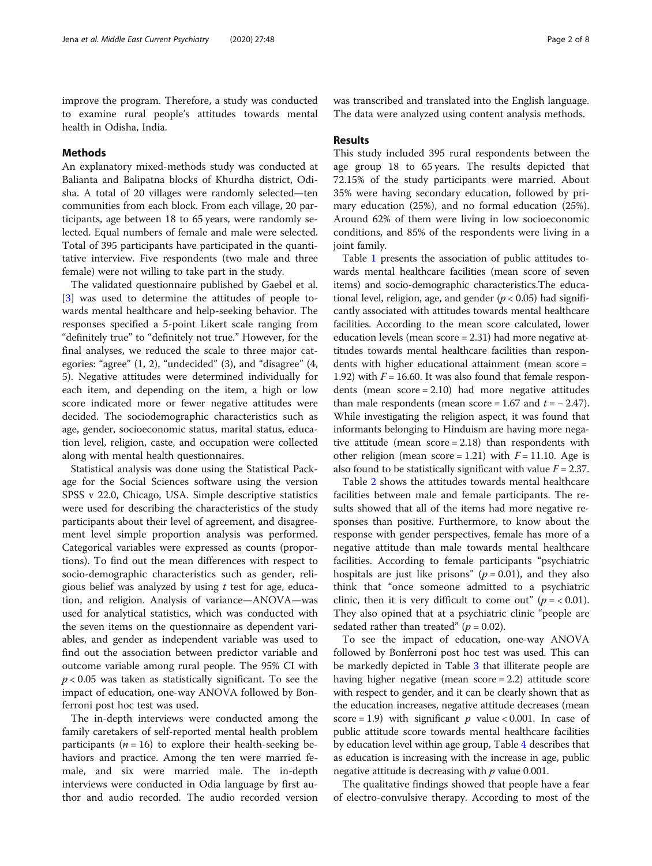improve the program. Therefore, a study was conducted to examine rural people's attitudes towards mental health in Odisha, India.

## **Methods**

An explanatory mixed-methods study was conducted at Balianta and Balipatna blocks of Khurdha district, Odisha. A total of 20 villages were randomly selected—ten communities from each block. From each village, 20 participants, age between 18 to 65 years, were randomly selected. Equal numbers of female and male were selected. Total of 395 participants have participated in the quantitative interview. Five respondents (two male and three female) were not willing to take part in the study.

The validated questionnaire published by Gaebel et al. [[3\]](#page-7-0) was used to determine the attitudes of people towards mental healthcare and help-seeking behavior. The responses specified a 5-point Likert scale ranging from "definitely true" to "definitely not true." However, for the final analyses, we reduced the scale to three major categories: "agree" (1, 2), "undecided" (3), and "disagree" (4, 5). Negative attitudes were determined individually for each item, and depending on the item, a high or low score indicated more or fewer negative attitudes were decided. The sociodemographic characteristics such as age, gender, socioeconomic status, marital status, education level, religion, caste, and occupation were collected along with mental health questionnaires.

Statistical analysis was done using the Statistical Package for the Social Sciences software using the version SPSS v 22.0, Chicago, USA. Simple descriptive statistics were used for describing the characteristics of the study participants about their level of agreement, and disagreement level simple proportion analysis was performed. Categorical variables were expressed as counts (proportions). To find out the mean differences with respect to socio-demographic characteristics such as gender, religious belief was analyzed by using  $t$  test for age, education, and religion. Analysis of variance—ANOVA—was used for analytical statistics, which was conducted with the seven items on the questionnaire as dependent variables, and gender as independent variable was used to find out the association between predictor variable and outcome variable among rural people. The 95% CI with  $p < 0.05$  was taken as statistically significant. To see the impact of education, one-way ANOVA followed by Bonferroni post hoc test was used.

The in-depth interviews were conducted among the family caretakers of self-reported mental health problem participants ( $n = 16$ ) to explore their health-seeking behaviors and practice. Among the ten were married female, and six were married male. The in-depth interviews were conducted in Odia language by first author and audio recorded. The audio recorded version was transcribed and translated into the English language. The data were analyzed using content analysis methods.

#### Results

This study included 395 rural respondents between the age group 18 to 65 years. The results depicted that 72.15% of the study participants were married. About 35% were having secondary education, followed by primary education (25%), and no formal education (25%). Around 62% of them were living in low socioeconomic conditions, and 85% of the respondents were living in a joint family.

Table [1](#page-2-0) presents the association of public attitudes towards mental healthcare facilities (mean score of seven items) and socio-demographic characteristics.The educational level, religion, age, and gender ( $p < 0.05$ ) had significantly associated with attitudes towards mental healthcare facilities. According to the mean score calculated, lower education levels (mean score = 2.31) had more negative attitudes towards mental healthcare facilities than respondents with higher educational attainment (mean score = 1.92) with  $F = 16.60$ . It was also found that female respondents (mean score = 2.10) had more negative attitudes than male respondents (mean score = 1.67 and  $t = -2.47$ ). While investigating the religion aspect, it was found that informants belonging to Hinduism are having more negative attitude (mean score = 2.18) than respondents with other religion (mean score = 1.21) with  $F = 11.10$ . Age is also found to be statistically significant with value  $F = 2.37$ .

Table [2](#page-3-0) shows the attitudes towards mental healthcare facilities between male and female participants. The results showed that all of the items had more negative responses than positive. Furthermore, to know about the response with gender perspectives, female has more of a negative attitude than male towards mental healthcare facilities. According to female participants "psychiatric hospitals are just like prisons" ( $p = 0.01$ ), and they also think that "once someone admitted to a psychiatric clinic, then it is very difficult to come out" ( $p = < 0.01$ ). They also opined that at a psychiatric clinic "people are sedated rather than treated" ( $p = 0.02$ ).

To see the impact of education, one-way ANOVA followed by Bonferroni post hoc test was used. This can be markedly depicted in Table [3](#page-4-0) that illiterate people are having higher negative (mean score = 2.2) attitude score with respect to gender, and it can be clearly shown that as the education increases, negative attitude decreases (mean score = 1.9) with significant  $p$  value < 0.001. In case of public attitude score towards mental healthcare facilities by education level within age group, Table [4](#page-5-0) describes that as education is increasing with the increase in age, public negative attitude is decreasing with  $p$  value 0.001.

The qualitative findings showed that people have a fear of electro-convulsive therapy. According to most of the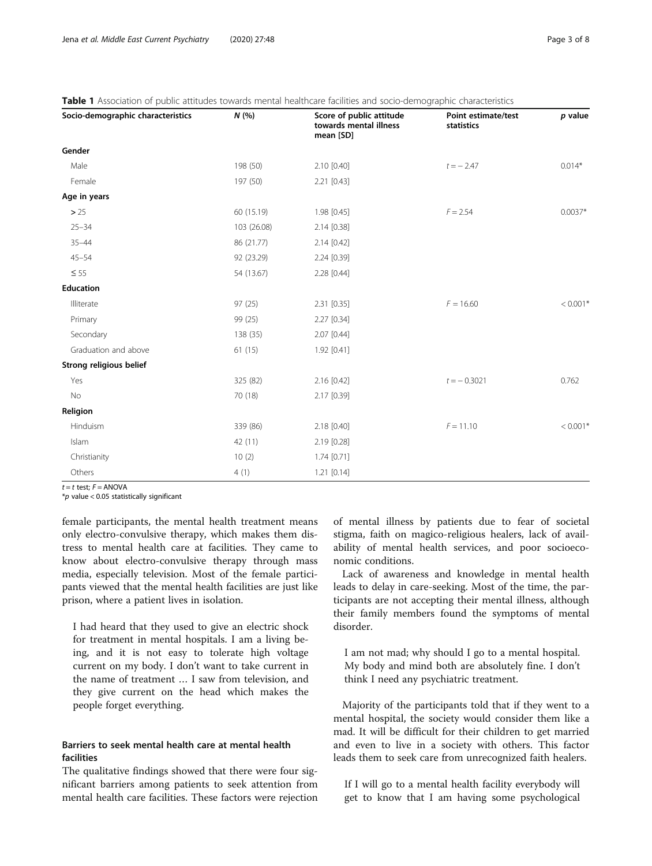<span id="page-2-0"></span>Table 1 Association of public attitudes towards mental healthcare facilities and socio-demographic characteristics

| Socio-demographic characteristics | N(%         | Score of public attitude<br>towards mental illness<br>mean [SD] | Point estimate/test<br>statistics | $p$ value  |
|-----------------------------------|-------------|-----------------------------------------------------------------|-----------------------------------|------------|
| Gender                            |             |                                                                 |                                   |            |
| Male                              | 198 (50)    | 2.10 [0.40]                                                     | $t = -2.47$                       | $0.014*$   |
| Female                            | 197 (50)    | 2.21 [0.43]                                                     |                                   |            |
| Age in years                      |             |                                                                 |                                   |            |
| > 25                              | 60 (15.19)  | 1.98 [0.45]                                                     | $F = 2.54$                        | $0.0037*$  |
| $25 - 34$                         | 103 (26.08) | 2.14 [0.38]                                                     |                                   |            |
| $35 - 44$                         | 86 (21.77)  | $2.14$ [0.42]                                                   |                                   |            |
| $45 - 54$                         | 92 (23.29)  | 2.24 [0.39]                                                     |                                   |            |
| $\leq 55$                         | 54 (13.67)  | 2.28 [0.44]                                                     |                                   |            |
| <b>Education</b>                  |             |                                                                 |                                   |            |
| Illiterate                        | 97(25)      | 2.31 [0.35]                                                     | $F = 16.60$                       | $< 0.001*$ |
| Primary                           | 99 (25)     | 2.27 [0.34]                                                     |                                   |            |
| Secondary                         | 138 (35)    | 2.07 [0.44]                                                     |                                   |            |
| Graduation and above              | 61(15)      | 1.92 [0.41]                                                     |                                   |            |
| Strong religious belief           |             |                                                                 |                                   |            |
| Yes                               | 325 (82)    | 2.16 [0.42]                                                     | $t = -0.3021$                     | 0.762      |
| No                                | 70 (18)     | 2.17 [0.39]                                                     |                                   |            |
| Religion                          |             |                                                                 |                                   |            |
| Hinduism                          | 339 (86)    | 2.18 [0.40]                                                     | $F = 11.10$                       | $< 0.001*$ |
| Islam                             | 42 (11)     | 2.19 [0.28]                                                     |                                   |            |
| Christianity                      | 10(2)       | $1.74$ [0.71]                                                   |                                   |            |
| Others                            | 4(1)        | 1.21 [0.14]                                                     |                                   |            |

 $t = t$  test;  $F = ANOVA$ 

 $*$ *p* value < 0.05 statistically significant

female participants, the mental health treatment means only electro-convulsive therapy, which makes them distress to mental health care at facilities. They came to know about electro-convulsive therapy through mass media, especially television. Most of the female participants viewed that the mental health facilities are just like prison, where a patient lives in isolation.

I had heard that they used to give an electric shock for treatment in mental hospitals. I am a living being, and it is not easy to tolerate high voltage current on my body. I don't want to take current in the name of treatment … I saw from television, and they give current on the head which makes the people forget everything.

## Barriers to seek mental health care at mental health facilities

The qualitative findings showed that there were four significant barriers among patients to seek attention from mental health care facilities. These factors were rejection

of mental illness by patients due to fear of societal stigma, faith on magico-religious healers, lack of availability of mental health services, and poor socioeconomic conditions.

Lack of awareness and knowledge in mental health leads to delay in care-seeking. Most of the time, the participants are not accepting their mental illness, although their family members found the symptoms of mental disorder.

I am not mad; why should I go to a mental hospital. My body and mind both are absolutely fine. I don't think I need any psychiatric treatment.

Majority of the participants told that if they went to a mental hospital, the society would consider them like a mad. It will be difficult for their children to get married and even to live in a society with others. This factor leads them to seek care from unrecognized faith healers.

If I will go to a mental health facility everybody will get to know that I am having some psychological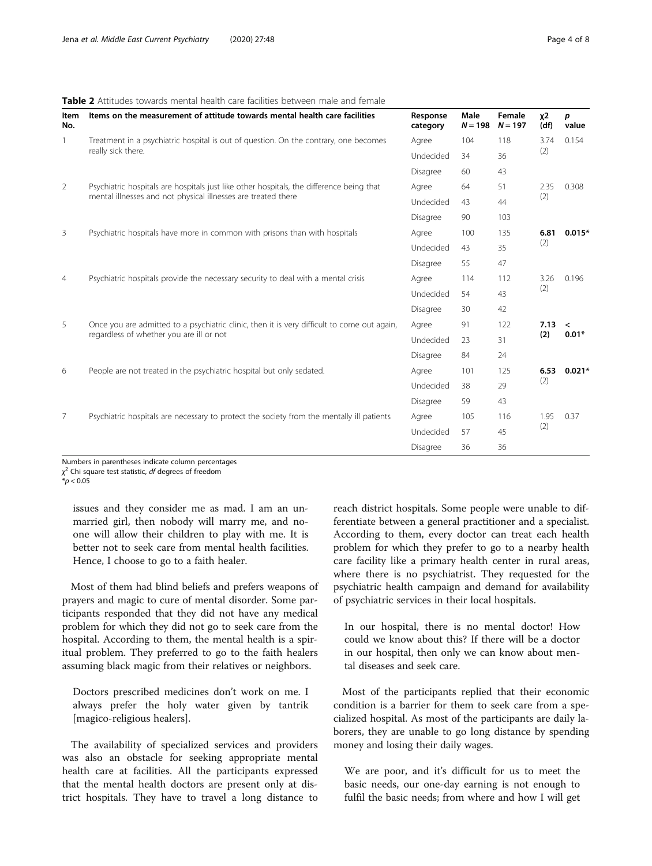### <span id="page-3-0"></span>Table 2 Attitudes towards mental health care facilities between male and female

| Item<br>No.    | Items on the measurement of attitude towards mental health care facilities                                                                                | Response<br>category | Male<br>$N = 198$ | Female<br>$N = 197$ | <b>χ2</b><br>(df) | p<br>value                          |
|----------------|-----------------------------------------------------------------------------------------------------------------------------------------------------------|----------------------|-------------------|---------------------|-------------------|-------------------------------------|
| 1              | Treatment in a psychiatric hospital is out of question. On the contrary, one becomes<br>really sick there.                                                | Agree                | 104               | 118                 | 3.74<br>(2)       | 0.154                               |
|                |                                                                                                                                                           | Undecided            | 34                | 36                  |                   |                                     |
|                |                                                                                                                                                           | Disagree             | 60                | 43                  |                   |                                     |
| 2              | Psychiatric hospitals are hospitals just like other hospitals, the difference being that<br>mental illnesses and not physical illnesses are treated there | Agree                | 64                | 51                  | 2.35<br>(2)       | 0.308                               |
|                |                                                                                                                                                           | Undecided            | 43                | 44                  |                   |                                     |
|                |                                                                                                                                                           | Disagree             | 90                | 103                 |                   |                                     |
| 3              | Psychiatric hospitals have more in common with prisons than with hospitals                                                                                | Agree                | 100               | 135                 | 6.81<br>(2)       | $0.015*$                            |
|                |                                                                                                                                                           | Undecided            | 43                | 35                  |                   |                                     |
|                |                                                                                                                                                           | Disagree             | 55                | 47                  |                   |                                     |
| $\overline{4}$ | Psychiatric hospitals provide the necessary security to deal with a mental crisis                                                                         | Agree                | 114               | 112                 | 3.26<br>(2)       | 0.196                               |
|                |                                                                                                                                                           | Undecided            | 54                | 43                  |                   |                                     |
|                |                                                                                                                                                           | Disagree             | 30                | 42                  |                   |                                     |
| 5              | Once you are admitted to a psychiatric clinic, then it is very difficult to come out again,<br>regardless of whether you are ill or not                   | Agree                | 91                | 122                 | 7.13<br>(2)       | $\overline{\phantom{a}}$<br>$0.01*$ |
|                |                                                                                                                                                           | Undecided            | 23                | 31                  |                   |                                     |
|                |                                                                                                                                                           | Disagree             | 84                | 24                  |                   |                                     |
| 6              | People are not treated in the psychiatric hospital but only sedated.                                                                                      | Agree                | 101               | 125                 | 6.53<br>(2)       | $0.021*$                            |
|                |                                                                                                                                                           | Undecided            | 38                | 29                  |                   |                                     |
|                |                                                                                                                                                           | Disagree             | 59                | 43                  |                   |                                     |
| 7              | Psychiatric hospitals are necessary to protect the society from the mentally ill patients                                                                 | Agree                | 105               | 116                 | 1.95<br>(2)       | 0.37                                |
|                |                                                                                                                                                           | Undecided            | 57                | 45                  |                   |                                     |
|                |                                                                                                                                                           | Disagree             | 36                | 36                  |                   |                                     |

Numbers in parentheses indicate column percentages

 $\chi^2$  Chi square test statistic, df degrees of freedom

 $*$ *p* < 0.05

issues and they consider me as mad. I am an unmarried girl, then nobody will marry me, and noone will allow their children to play with me. It is better not to seek care from mental health facilities. Hence, I choose to go to a faith healer.

Most of them had blind beliefs and prefers weapons of prayers and magic to cure of mental disorder. Some participants responded that they did not have any medical problem for which they did not go to seek care from the hospital. According to them, the mental health is a spiritual problem. They preferred to go to the faith healers assuming black magic from their relatives or neighbors.

Doctors prescribed medicines don't work on me. I always prefer the holy water given by tantrik [magico-religious healers].

The availability of specialized services and providers was also an obstacle for seeking appropriate mental health care at facilities. All the participants expressed that the mental health doctors are present only at district hospitals. They have to travel a long distance to reach district hospitals. Some people were unable to differentiate between a general practitioner and a specialist. According to them, every doctor can treat each health problem for which they prefer to go to a nearby health care facility like a primary health center in rural areas, where there is no psychiatrist. They requested for the psychiatric health campaign and demand for availability of psychiatric services in their local hospitals.

In our hospital, there is no mental doctor! How could we know about this? If there will be a doctor in our hospital, then only we can know about mental diseases and seek care.

Most of the participants replied that their economic condition is a barrier for them to seek care from a specialized hospital. As most of the participants are daily laborers, they are unable to go long distance by spending money and losing their daily wages.

We are poor, and it's difficult for us to meet the basic needs, our one-day earning is not enough to fulfil the basic needs; from where and how I will get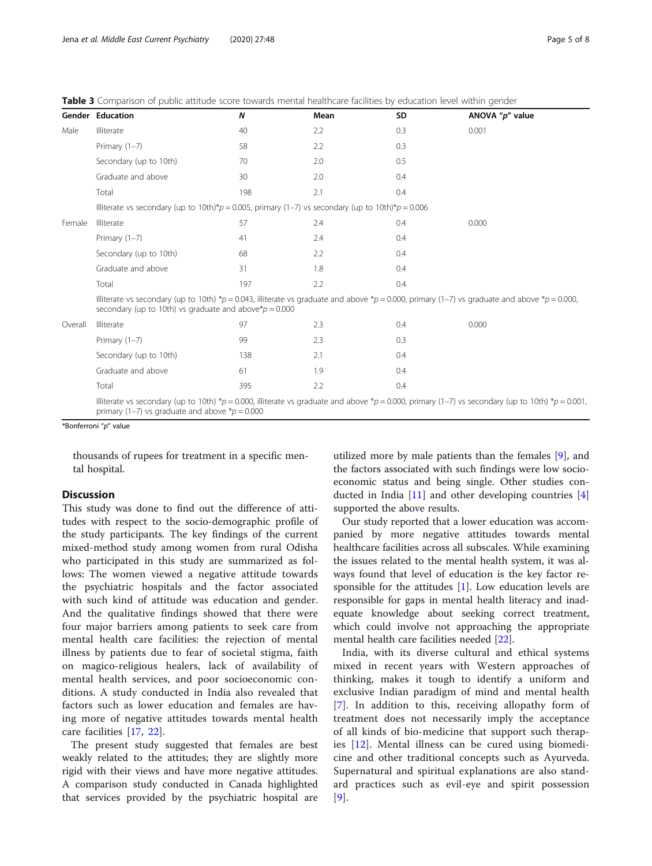|         | <b>Gender Education</b>                                                                                                                                                                                          | $\boldsymbol{N}$ | Mean | <b>SD</b> | ANOVA "p" value |  |  |
|---------|------------------------------------------------------------------------------------------------------------------------------------------------------------------------------------------------------------------|------------------|------|-----------|-----------------|--|--|
| Male    | Illiterate                                                                                                                                                                                                       | 40               | 2.2  | 0.3       | 0.001           |  |  |
|         | Primary $(1-7)$                                                                                                                                                                                                  | 58               | 2.2  | 0.3       |                 |  |  |
|         | Secondary (up to 10th)                                                                                                                                                                                           | 70               | 2.0  | 0.5       |                 |  |  |
|         | Graduate and above                                                                                                                                                                                               | 30               | 2.0  | 0.4       |                 |  |  |
|         | Total                                                                                                                                                                                                            | 198              | 2.1  | 0.4       |                 |  |  |
|         | Illiterate vs secondary (up to 10th)*p = 0.005, primary (1-7) vs secondary (up to 10th)*p = 0.006                                                                                                                |                  |      |           |                 |  |  |
| Female  | Illiterate                                                                                                                                                                                                       | 57               | 2.4  | 0.4       | 0.000           |  |  |
|         | Primary $(1-7)$                                                                                                                                                                                                  | 41               | 2.4  | 0.4       |                 |  |  |
|         | Secondary (up to 10th)                                                                                                                                                                                           | 68               | 2.2  | 0.4       |                 |  |  |
|         | Graduate and above                                                                                                                                                                                               | 31               | 1.8  | 0.4       |                 |  |  |
|         | Total                                                                                                                                                                                                            | 197              | 2.2  | 0.4       |                 |  |  |
|         | Illiterate vs secondary (up to 10th) *p = 0.043, illiterate vs graduate and above *p = 0.000, primary (1-7) vs graduate and above *p = 0.000,<br>secondary (up to 10th) vs graduate and above $\gamma p = 0.000$ |                  |      |           |                 |  |  |
| Overall | Illiterate                                                                                                                                                                                                       | 97               | 2.3  | 0.4       | 0.000           |  |  |
|         | Primary $(1-7)$                                                                                                                                                                                                  | 99               | 2.3  | 0.3       |                 |  |  |
|         | Secondary (up to 10th)                                                                                                                                                                                           | 138              | 2.1  | 0.4       |                 |  |  |
|         | Graduate and above                                                                                                                                                                                               | 61               | 1.9  | 0.4       |                 |  |  |
|         | Total                                                                                                                                                                                                            | 395              | 2.2  | 0.4       |                 |  |  |
|         | Illiterate vs secondary (up to 10th) *p = 0.000, illiterate vs graduate and above *p = 0.000, primary (1-7) vs secondary (up to 10th) *p = 0.001,<br>primary (1–7) vs graduate and above $* p = 0.000$           |                  |      |           |                 |  |  |

<span id="page-4-0"></span>Table 3 Comparison of public attitude score towards mental healthcare facilities by education level within gender

\*Bonferroni "p" value

thousands of rupees for treatment in a specific mental hospital.

## **Discussion**

This study was done to find out the difference of attitudes with respect to the socio-demographic profile of the study participants. The key findings of the current mixed-method study among women from rural Odisha who participated in this study are summarized as follows: The women viewed a negative attitude towards the psychiatric hospitals and the factor associated with such kind of attitude was education and gender. And the qualitative findings showed that there were four major barriers among patients to seek care from mental health care facilities: the rejection of mental illness by patients due to fear of societal stigma, faith on magico-religious healers, lack of availability of mental health services, and poor socioeconomic conditions. A study conducted in India also revealed that factors such as lower education and females are having more of negative attitudes towards mental health care facilities [\[17](#page-7-0), [22](#page-7-0)].

The present study suggested that females are best weakly related to the attitudes; they are slightly more rigid with their views and have more negative attitudes. A comparison study conducted in Canada highlighted that services provided by the psychiatric hospital are

utilized more by male patients than the females [[9\]](#page-7-0), and the factors associated with such findings were low socioeconomic status and being single. Other studies conducted in India [\[11\]](#page-7-0) and other developing countries [\[4](#page-7-0)] supported the above results.

Our study reported that a lower education was accompanied by more negative attitudes towards mental healthcare facilities across all subscales. While examining the issues related to the mental health system, it was always found that level of education is the key factor responsible for the attitudes  $[1]$  $[1]$ . Low education levels are responsible for gaps in mental health literacy and inadequate knowledge about seeking correct treatment, which could involve not approaching the appropriate mental health care facilities needed [[22\]](#page-7-0).

India, with its diverse cultural and ethical systems mixed in recent years with Western approaches of thinking, makes it tough to identify a uniform and exclusive Indian paradigm of mind and mental health [[7](#page-7-0)]. In addition to this, receiving allopathy form of treatment does not necessarily imply the acceptance of all kinds of bio-medicine that support such therapies [\[12](#page-7-0)]. Mental illness can be cured using biomedicine and other traditional concepts such as Ayurveda. Supernatural and spiritual explanations are also standard practices such as evil-eye and spirit possession [[9](#page-7-0)].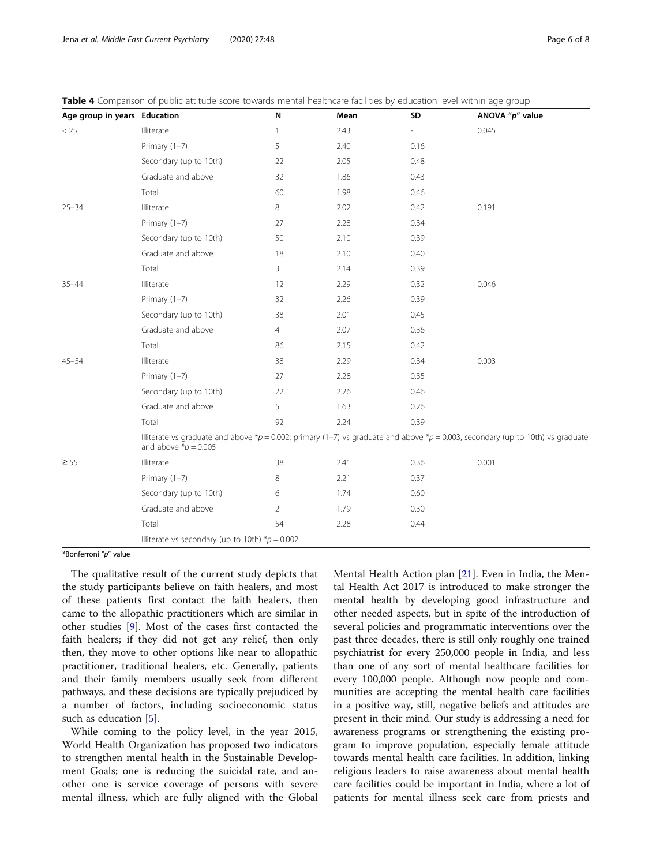| Age group in years Education |                                                                                                                                                                  | N              | Mean | SD   | ANOVA "p" value |
|------------------------------|------------------------------------------------------------------------------------------------------------------------------------------------------------------|----------------|------|------|-----------------|
| < 25                         | Illiterate                                                                                                                                                       | $\mathbf{1}$   | 2.43 |      | 0.045           |
|                              | Primary $(1-7)$                                                                                                                                                  | 5              | 2.40 | 0.16 |                 |
|                              | Secondary (up to 10th)                                                                                                                                           | 22             | 2.05 | 0.48 |                 |
|                              | Graduate and above                                                                                                                                               | 32             | 1.86 | 0.43 |                 |
|                              | Total                                                                                                                                                            | 60             | 1.98 | 0.46 |                 |
| $25 - 34$                    | Illiterate                                                                                                                                                       | 8              | 2.02 | 0.42 | 0.191           |
|                              | Primary $(1-7)$                                                                                                                                                  | 27             | 2.28 | 0.34 |                 |
|                              | Secondary (up to 10th)                                                                                                                                           | 50             | 2.10 | 0.39 |                 |
|                              | Graduate and above                                                                                                                                               | 18             | 2.10 | 0.40 |                 |
|                              | Total                                                                                                                                                            | 3              | 2.14 | 0.39 |                 |
| $35 - 44$                    | Illiterate                                                                                                                                                       | 12             | 2.29 | 0.32 | 0.046           |
|                              | Primary $(1-7)$                                                                                                                                                  | 32             | 2.26 | 0.39 |                 |
|                              | Secondary (up to 10th)                                                                                                                                           | 38             | 2.01 | 0.45 |                 |
|                              | Graduate and above                                                                                                                                               | $\overline{4}$ | 2.07 | 0.36 |                 |
|                              | Total                                                                                                                                                            | 86             | 2.15 | 0.42 |                 |
| $45 - 54$                    | Illiterate                                                                                                                                                       | 38             | 2.29 | 0.34 | 0.003           |
|                              | Primary $(1-7)$                                                                                                                                                  | 27             | 2.28 | 0.35 |                 |
|                              | Secondary (up to 10th)                                                                                                                                           | 22             | 2.26 | 0.46 |                 |
|                              | Graduate and above                                                                                                                                               | 5              | 1.63 | 0.26 |                 |
|                              | Total                                                                                                                                                            | 92             | 2.24 | 0.39 |                 |
|                              | Illiterate vs graduate and above *p = 0.002, primary (1-7) vs graduate and above *p = 0.003, secondary (up to 10th) vs graduate<br>and above $\text{*}p = 0.005$ |                |      |      |                 |
| $\geq 55$                    | Illiterate                                                                                                                                                       | 38             | 2.41 | 0.36 | 0.001           |
|                              | Primary $(1-7)$                                                                                                                                                  | 8              | 2.21 | 0.37 |                 |
|                              | Secondary (up to 10th)                                                                                                                                           | 6              | 1.74 | 0.60 |                 |
|                              | Graduate and above                                                                                                                                               | 2              | 1.79 | 0.30 |                 |
|                              | Total                                                                                                                                                            | 54             | 2.28 | 0.44 |                 |
|                              | Illiterate vs secondary (up to 10th) $* p = 0.002$                                                                                                               |                |      |      |                 |

<span id="page-5-0"></span>Table 4 Comparison of public attitude score towards mental healthcare facilities by education level within age group

\*Bonferroni "p" value

The qualitative result of the current study depicts that the study participants believe on faith healers, and most of these patients first contact the faith healers, then came to the allopathic practitioners which are similar in other studies [\[9](#page-7-0)]. Most of the cases first contacted the faith healers; if they did not get any relief, then only then, they move to other options like near to allopathic practitioner, traditional healers, etc. Generally, patients and their family members usually seek from different pathways, and these decisions are typically prejudiced by a number of factors, including socioeconomic status such as education [[5\]](#page-7-0).

While coming to the policy level, in the year 2015, World Health Organization has proposed two indicators to strengthen mental health in the Sustainable Development Goals; one is reducing the suicidal rate, and another one is service coverage of persons with severe mental illness, which are fully aligned with the Global

Mental Health Action plan [[21\]](#page-7-0). Even in India, the Mental Health Act 2017 is introduced to make stronger the mental health by developing good infrastructure and other needed aspects, but in spite of the introduction of several policies and programmatic interventions over the past three decades, there is still only roughly one trained psychiatrist for every 250,000 people in India, and less than one of any sort of mental healthcare facilities for every 100,000 people. Although now people and communities are accepting the mental health care facilities in a positive way, still, negative beliefs and attitudes are present in their mind. Our study is addressing a need for awareness programs or strengthening the existing program to improve population, especially female attitude towards mental health care facilities. In addition, linking religious leaders to raise awareness about mental health care facilities could be important in India, where a lot of patients for mental illness seek care from priests and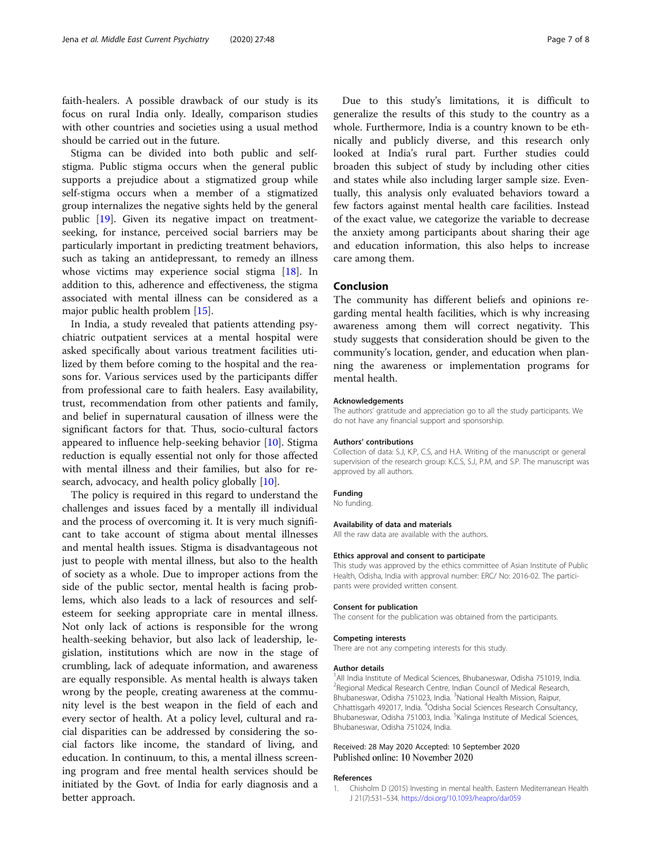<span id="page-6-0"></span>faith-healers. A possible drawback of our study is its focus on rural India only. Ideally, comparison studies with other countries and societies using a usual method should be carried out in the future.

Stigma can be divided into both public and selfstigma. Public stigma occurs when the general public supports a prejudice about a stigmatized group while self-stigma occurs when a member of a stigmatized group internalizes the negative sights held by the general public [[19\]](#page-7-0). Given its negative impact on treatmentseeking, for instance, perceived social barriers may be particularly important in predicting treatment behaviors, such as taking an antidepressant, to remedy an illness whose victims may experience social stigma [[18\]](#page-7-0). In addition to this, adherence and effectiveness, the stigma associated with mental illness can be considered as a major public health problem [[15\]](#page-7-0).

In India, a study revealed that patients attending psychiatric outpatient services at a mental hospital were asked specifically about various treatment facilities utilized by them before coming to the hospital and the reasons for. Various services used by the participants differ from professional care to faith healers. Easy availability, trust, recommendation from other patients and family, and belief in supernatural causation of illness were the significant factors for that. Thus, socio-cultural factors appeared to influence help-seeking behavior [\[10](#page-7-0)]. Stigma reduction is equally essential not only for those affected with mental illness and their families, but also for re-search, advocacy, and health policy globally [\[10](#page-7-0)].

The policy is required in this regard to understand the challenges and issues faced by a mentally ill individual and the process of overcoming it. It is very much significant to take account of stigma about mental illnesses and mental health issues. Stigma is disadvantageous not just to people with mental illness, but also to the health of society as a whole. Due to improper actions from the side of the public sector, mental health is facing problems, which also leads to a lack of resources and selfesteem for seeking appropriate care in mental illness. Not only lack of actions is responsible for the wrong health-seeking behavior, but also lack of leadership, legislation, institutions which are now in the stage of crumbling, lack of adequate information, and awareness are equally responsible. As mental health is always taken wrong by the people, creating awareness at the community level is the best weapon in the field of each and every sector of health. At a policy level, cultural and racial disparities can be addressed by considering the social factors like income, the standard of living, and education. In continuum, to this, a mental illness screening program and free mental health services should be initiated by the Govt. of India for early diagnosis and a better approach.

Due to this study's limitations, it is difficult to generalize the results of this study to the country as a whole. Furthermore, India is a country known to be ethnically and publicly diverse, and this research only looked at India's rural part. Further studies could broaden this subject of study by including other cities and states while also including larger sample size. Eventually, this analysis only evaluated behaviors toward a few factors against mental health care facilities. Instead of the exact value, we categorize the variable to decrease the anxiety among participants about sharing their age and education information, this also helps to increase care among them.

## Conclusion

The community has different beliefs and opinions regarding mental health facilities, which is why increasing awareness among them will correct negativity. This study suggests that consideration should be given to the community's location, gender, and education when planning the awareness or implementation programs for mental health.

#### Acknowledgements

The authors' gratitude and appreciation go to all the study participants. We do not have any financial support and sponsorship.

#### Authors' contributions

Collection of data: S.J, K.P, C.S, and H.A. Writing of the manuscript or general supervision of the research group: K.C.S, S.J, P.M, and S.P. The manuscript was approved by all authors.

#### Funding

No funding.

## Availability of data and materials

All the raw data are available with the authors.

#### Ethics approval and consent to participate

This study was approved by the ethics committee of Asian Institute of Public Health, Odisha, India with approval number: ERC/ No: 2016-02. The participants were provided written consent.

#### Consent for publication

The consent for the publication was obtained from the participants.

#### Competing interests

There are not any competing interests for this study.

#### Author details

<sup>1</sup> All India Institute of Medical Sciences, Bhubaneswar, Odisha 751019, India. <sup>2</sup> Regional Medical Research Centre, Indian Council of Medical Research Bhubaneswar, Odisha 751023, India. <sup>3</sup>National Health Mission, Raipur, Chhattisgarh 492017, India. <sup>4</sup>Odisha Social Sciences Research Consultancy, Bhubaneswar, Odisha 751003, India. <sup>5</sup>Kalinga Institute of Medical Sciences Bhubaneswar, Odisha 751024, India.

#### Received: 28 May 2020 Accepted: 10 September 2020 Published online: 10 November 2020

#### References

1. Chisholm D (2015) Investing in mental health. Eastern Mediterranean Health J 21(7):531–534. <https://doi.org/10.1093/heapro/dar059>